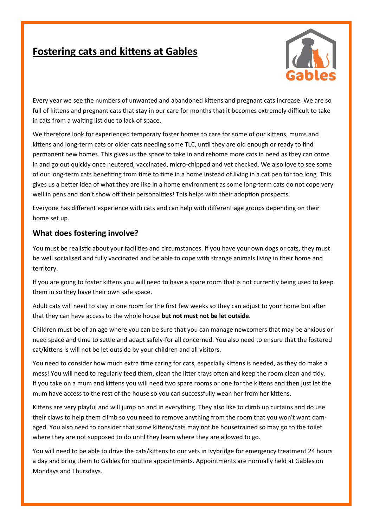## **Fostering cats and kittens at Gables**



Every year we see the numbers of unwanted and abandoned kittens and pregnant cats increase. We are so full of kittens and pregnant cats that stay in our care for months that it becomes extremely difficult to take in cats from a waiting list due to lack of space.

We therefore look for experienced temporary foster homes to care for some of our kittens, mums and kittens and long-term cats or older cats needing some TLC, until they are old enough or ready to find permanent new homes. This gives us the space to take in and rehome more cats in need as they can come in and go out quickly once neutered, vaccinated, micro-chipped and vet checked. We also love to see some of our long-term cats benefiting from time to time in a home instead of living in a cat pen for too long. This gives us a better idea of what they are like in a home environment as some long-term cats do not cope very well in pens and don't show off their personalities! This helps with their adoption prospects.

Everyone has different experience with cats and can help with different age groups depending on their home set up.

## **What does fostering involve?**

You must be realistic about your facilities and circumstances. If you have your own dogs or cats, they must be well socialised and fully vaccinated and be able to cope with strange animals living in their home and territory.

If you are going to foster kittens you will need to have a spare room that is not currently being used to keep them in so they have their own safe space.

Adult cats will need to stay in one room for the first few weeks so they can adjust to your home but after that they can have access to the whole house **but not must not be let outside**.

Children must be of an age where you can be sure that you can manage newcomers that may be anxious or need space and time to settle and adapt safely-for all concerned. You also need to ensure that the fostered cat/kittens is will not be let outside by your children and all visitors.

You need to consider how much extra time caring for cats, especially kittens is needed, as they do make a mess! You will need to regularly feed them, clean the litter trays often and keep the room clean and tidy. If you take on a mum and kittens you will need two spare rooms or one for the kittens and then just let the mum have access to the rest of the house so you can successfully wean her from her kittens.

Kittens are very playful and will jump on and in everything. They also like to climb up curtains and do use their claws to help them climb so you need to remove anything from the room that you won't want damaged. You also need to consider that some kittens/cats may not be housetrained so may go to the toilet where they are not supposed to do until they learn where they are allowed to go.

You will need to be able to drive the cats/kittens to our vets in Ivybridge for emergency treatment 24 hours a day and bring them to Gables for routine appointments. Appointments are normally held at Gables on Mondays and Thursdays.